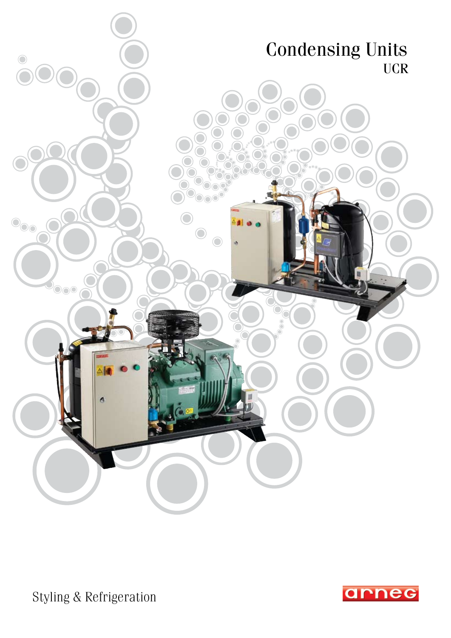

Styling & Refrigeration

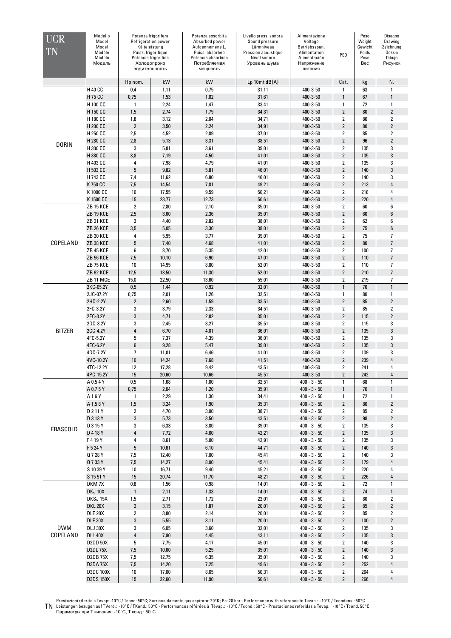| UCR<br>TN              | Modello<br>Model<br>Model<br>Modèle<br>Modelo<br>Модель |                                | Potenza frigorifera<br>Refrigeration power<br>Kålteleistung<br>Puiss. frigorifique<br>Potencia frigorífica<br>Холодопроиз<br>водительность | Potenza assorbita<br>Absorbed power<br>Aufgennomene L.<br>Puiss. absorbée<br>Potencia absorbida<br>Потребляемая<br>мощность | Livello press. sonora<br>Sound pressure<br>Lärmniveau<br>Pression acoustique<br>Nivel sonoro<br>Уровень шума | Alimentazione<br>Voltage<br>Betriebsspan.<br>Alimentation<br>Alimentación<br>Напряжение<br>питания | PED                              | Peso<br>Weight<br>Gewicht<br>Poids<br>Peso<br>Bec | Disegno<br>Drawing<br>Zeichnung<br>Dessin<br>Dibujo<br>Рисунок |
|------------------------|---------------------------------------------------------|--------------------------------|--------------------------------------------------------------------------------------------------------------------------------------------|-----------------------------------------------------------------------------------------------------------------------------|--------------------------------------------------------------------------------------------------------------|----------------------------------------------------------------------------------------------------|----------------------------------|---------------------------------------------------|----------------------------------------------------------------|
|                        |                                                         | Hp nom.                        | kW                                                                                                                                         | kW                                                                                                                          | $Lp$ 10mt $dB(A)$                                                                                            |                                                                                                    | Cat.                             | kg                                                | N.                                                             |
|                        | <b>H 40 CC</b>                                          | 0,4                            | 1,11                                                                                                                                       | 0,75                                                                                                                        | 31,11                                                                                                        | 400-3-50                                                                                           | $\mathbf{1}$                     | 63                                                | 1                                                              |
|                        | H 75 CC                                                 | 0,75                           | 1,53                                                                                                                                       | 1,02                                                                                                                        | 31,61                                                                                                        | 400-3-50                                                                                           | $\mathbf{1}$                     | 67                                                | $\mathbf{1}$                                                   |
|                        | H 100 CC                                                | 1                              | 2,24                                                                                                                                       | 1,47                                                                                                                        | 33,41                                                                                                        | 400-3-50                                                                                           | $\mathbf{1}$                     | 72                                                | $\mathbf{1}$                                                   |
|                        | H 150 CC                                                | 1,5                            | 2,74                                                                                                                                       | 1,79                                                                                                                        | 34,31                                                                                                        | 400-3-50                                                                                           | $\overline{2}$                   | 80                                                | $\overline{2}$                                                 |
|                        | H 180 CC                                                | 1,8                            | 3,12                                                                                                                                       | 2,04                                                                                                                        | 34,71                                                                                                        | 400-3-50                                                                                           | $\overline{2}$                   | 80                                                | $\overline{2}$                                                 |
|                        | H 200 CC                                                | $\overline{2}$                 | 3,50                                                                                                                                       | 2,24                                                                                                                        | 34,91                                                                                                        | 400-3-50                                                                                           | $\overline{2}$                   | 80                                                | $\overline{2}$                                                 |
|                        | H 250 CC                                                | 2,5                            | 4,52                                                                                                                                       | 2,89                                                                                                                        | 37,01                                                                                                        | 400-3-50                                                                                           | $\overline{2}$                   | 85                                                | $\overline{2}$                                                 |
| <b>DORIN</b>           | H 280 CC                                                | 2,8                            | 5,13                                                                                                                                       | 3,31                                                                                                                        | 38,51                                                                                                        | 400-3-50                                                                                           | $\overline{2}$                   | 96                                                | $\overline{2}$                                                 |
|                        | H 300 CC<br>H 380 CC                                    | 3<br>3,8                       | 5,81<br>7,19                                                                                                                               | 3,61<br>4,50                                                                                                                | 39,01<br>41,01                                                                                               | 400-3-50<br>400-3-50                                                                               | $\overline{2}$<br>$\overline{2}$ | 135<br>135                                        | 3<br>3                                                         |
|                        | H 403 CC                                                | 4                              | 7,98                                                                                                                                       | 4,79                                                                                                                        | 41,01                                                                                                        | 400-3-50                                                                                           | $\overline{2}$                   | 135                                               | 3                                                              |
|                        | H 503 CC                                                | 5                              | 9,82                                                                                                                                       | 5,81                                                                                                                        | 46,01                                                                                                        | 400-3-50                                                                                           | $\overline{2}$                   | 140                                               | 3                                                              |
|                        | H 743 CC                                                | 7,4                            | 11,62                                                                                                                                      | 6,80                                                                                                                        | 46,01                                                                                                        | 400-3-50                                                                                           | $\overline{2}$                   | 140                                               | 3                                                              |
|                        | K 750 CC                                                | 7,5                            | 14,54                                                                                                                                      | 7,81                                                                                                                        | 49,21                                                                                                        | 400-3-50                                                                                           | $\overline{2}$                   | 213                                               | 4                                                              |
|                        | K 1000 CC                                               | 10                             | 17,55                                                                                                                                      | 9,59                                                                                                                        | 50,21                                                                                                        | 400-3-50                                                                                           | $\overline{2}$                   | 218                                               | 4                                                              |
|                        | K 1500 CC                                               | 15                             | 23,77                                                                                                                                      | 12,73                                                                                                                       | 50,61                                                                                                        | 400-3-50                                                                                           | $\overline{2}$                   | 220                                               | 4                                                              |
|                        | <b>ZB 15 KCE</b>                                        | $\overline{2}$                 | 2,80                                                                                                                                       | 2,10                                                                                                                        | 35,01                                                                                                        | 400-3-50                                                                                           | $\overline{2}$                   | 60                                                | 6                                                              |
|                        | ZB 19 KCE                                               | 2,5                            | 3,60                                                                                                                                       | 2,36                                                                                                                        | 35,01                                                                                                        | 400-3-50                                                                                           | $\overline{2}$                   | 60                                                | 6                                                              |
|                        | <b>ZB 21 KCE</b>                                        | 3                              | 4,40                                                                                                                                       | 2,82                                                                                                                        | 38,01                                                                                                        | 400-3-50                                                                                           | $\overline{2}$                   | 62                                                | 6                                                              |
|                        | ZB 26 KCE                                               | 3,5                            | 5,05                                                                                                                                       | 3,30                                                                                                                        | 38,01                                                                                                        | 400-3-50                                                                                           | $\overline{2}$                   | 75                                                | 6                                                              |
|                        | ZB 30 KCE                                               | 4                              | 5,95                                                                                                                                       | 3,77                                                                                                                        | 39,01                                                                                                        | 400-3-50                                                                                           | $\overline{2}$                   | 75                                                | $\overline{7}$                                                 |
| COPELAND               | ZB 38 KCE                                               | 5                              | 7,40                                                                                                                                       | 4,68                                                                                                                        | 41,01                                                                                                        | 400-3-50                                                                                           | $\overline{2}$                   | 80                                                | $\overline{7}$                                                 |
|                        | ZB 45 KCE<br>ZB 56 KCE                                  | 6<br>7,5                       | 8,70<br>10,10                                                                                                                              | 5,35<br>6,90                                                                                                                | 42,01<br>47,01                                                                                               | 400-3-50<br>400-3-50                                                                               | $\overline{2}$<br>$\overline{2}$ | 100<br>110                                        | $\overline{7}$<br>$\overline{\phantom{a}}$                     |
|                        | ZB 75 KCE                                               | 10                             | 14,95                                                                                                                                      | 8,80                                                                                                                        | 52,01                                                                                                        | 400-3-50                                                                                           | $\overline{2}$                   | 110                                               | $\overline{\phantom{a}}$                                       |
|                        | <b>ZB 92 KCE</b>                                        | 12,5                           | 18,50                                                                                                                                      | 11,30                                                                                                                       | 52,01                                                                                                        | 400-3-50                                                                                           | $\overline{2}$                   | 210                                               | $\overline{7}$                                                 |
|                        | ZB 11 MCE                                               | 15,0                           | 22,50                                                                                                                                      | 13,60                                                                                                                       | 55,01                                                                                                        | 400-3-50                                                                                           | $\overline{2}$                   | 219                                               | $\overline{\phantom{a}}$                                       |
|                        | 2KC-05.2Y                                               | 0,5                            | 1,44                                                                                                                                       | 0,92                                                                                                                        | 32,01                                                                                                        | 400-3-50                                                                                           | $\mathbf{1}$                     | 76                                                | $\mathbf{1}$                                                   |
|                        | 2JC-07.2Y                                               | 0,75                           | 2,01                                                                                                                                       | 1,26                                                                                                                        | 32,51                                                                                                        | 400-3-50                                                                                           | $\mathbf{1}$                     | 80                                                | 1                                                              |
|                        | 2HC-2.2Y                                                | $\overline{2}$                 | 2,60                                                                                                                                       | 1,59                                                                                                                        | 33,51                                                                                                        | 400-3-50                                                                                           | $\overline{2}$                   | 85                                                | $\overline{2}$                                                 |
|                        | 2FC-3.2Y                                                | 3                              | 3,79                                                                                                                                       | 2,33                                                                                                                        | 34,51                                                                                                        | 400-3-50                                                                                           | $\overline{2}$                   | 85                                                | $\overline{2}$                                                 |
|                        | 2EC-3.2Y                                                | 3                              | 4,71                                                                                                                                       | 2,82                                                                                                                        | 35,01                                                                                                        | 400-3-50                                                                                           | $\overline{2}$                   | 115                                               | $\overline{2}$                                                 |
|                        | 2DC-3.2Y                                                | 3                              | 2,45                                                                                                                                       | 3,27                                                                                                                        | 35,51                                                                                                        | 400-3-50                                                                                           | $\overline{2}$                   | 115                                               | 3                                                              |
| <b>BITZER</b>          | 2CC-4.2Y                                                | 4                              | 6,70                                                                                                                                       | 4,01                                                                                                                        | 36,01                                                                                                        | 400-3-50                                                                                           | $\overline{2}$                   | 135                                               | 3                                                              |
|                        | 4FC-5.2Y                                                | 5                              | 7,37                                                                                                                                       | 4,39                                                                                                                        | 36,01                                                                                                        | 400-3-50                                                                                           | $\overline{2}$                   | 135                                               | 3                                                              |
|                        | 4EC-6.2Y                                                | 6                              | 9,28                                                                                                                                       | 5,47                                                                                                                        | 39,01                                                                                                        | 400-3-50                                                                                           | $\overline{2}$                   | 135                                               | 3                                                              |
|                        | 4DC-7.2Y<br>4VC-10.2Y                                   | $\overline{\phantom{a}}$<br>10 | 11,01<br>14,24                                                                                                                             | 6,46<br>7,68                                                                                                                | 41,01<br>41,51                                                                                               | 400-3-50<br>400-3-50                                                                               | $\overline{2}$<br>$\overline{2}$ | 139<br>239                                        | 3<br>4                                                         |
|                        | 4TC-12.2Y                                               | 12                             | 17,28                                                                                                                                      | 9,42                                                                                                                        | 43,51                                                                                                        | 400-3-50                                                                                           | $\overline{2}$                   | 241                                               | 4                                                              |
|                        | 4PC-15.2Y                                               | 15                             | 20,60                                                                                                                                      | 10,66                                                                                                                       | 45,51                                                                                                        | 400-3-50                                                                                           | $\overline{2}$                   | 242                                               | 4                                                              |
|                        | A 0,54Y                                                 | 0,5                            | 1,68                                                                                                                                       | 1,00                                                                                                                        | 32,51                                                                                                        | $400 - 3 - 50$                                                                                     | $\mathbf{1}$                     | 68                                                | 1                                                              |
|                        | A 0,75Y                                                 | 0,75                           | 2,04                                                                                                                                       | 1,20                                                                                                                        | 35,91                                                                                                        | $400 - 3 - 50$                                                                                     | $\mathbf{1}$                     | 70                                                | 1                                                              |
|                        | A16Y                                                    | 1                              | 2,29                                                                                                                                       | 1,30                                                                                                                        | 34,41                                                                                                        | $400 - 3 - 50$                                                                                     | $\mathbf{1}$                     | 72                                                | 1                                                              |
|                        | A 1,58Y                                                 | 1,5                            | 3,24                                                                                                                                       | 1,90                                                                                                                        | 35,31                                                                                                        | $400 - 3 - 50$                                                                                     | $\overline{2}$                   | 80                                                | $\overline{2}$                                                 |
|                        | D 2 11 Y                                                | 2                              | 4,70                                                                                                                                       | 3,00                                                                                                                        | 38,71                                                                                                        | $400 - 3 - 50$                                                                                     | $\overline{2}$                   | 85                                                | $\overline{\mathbf{2}}$                                        |
|                        | D 3 13 Y                                                | 3                              | 5,73                                                                                                                                       | 3,50                                                                                                                        | 43,51                                                                                                        | $400 - 3 - 50$                                                                                     | $\overline{2}$                   | 98                                                | $\overline{2}$                                                 |
| <b>FRASCOLD</b>        | D 3 15 Y                                                | 3<br>4                         | 6,33                                                                                                                                       | 3,80                                                                                                                        | 39,01                                                                                                        | $400 - 3 - 50$                                                                                     | $\overline{2}$<br>$\overline{2}$ | 135                                               | 3<br>3                                                         |
|                        | D 4 18 Y<br>F419Y                                       | 4                              | 7,72<br>8,61                                                                                                                               | 4,60<br>5,00                                                                                                                | 42,21<br>42,91                                                                                               | $400 - 3 - 50$<br>$400 - 3 - 50$                                                                   | $\overline{2}$                   | 135<br>135                                        | 3                                                              |
|                        | F 5 24 Y                                                | 5                              | 10,61                                                                                                                                      | 6,10                                                                                                                        | 44,71                                                                                                        | $400 - 3 - 50$                                                                                     | $\overline{2}$                   | 140                                               | 3                                                              |
|                        | Q 7 28 Y                                                | 7,5                            | 12,40                                                                                                                                      | 7,00                                                                                                                        | 45,41                                                                                                        | $400 - 3 - 50$                                                                                     | $\overline{2}$                   | 140                                               | 3                                                              |
|                        | Q 7 33 Y                                                | 7,5                            | 14,27                                                                                                                                      | 8,00                                                                                                                        | 45,41                                                                                                        | $400 - 3 - 50$                                                                                     | $\overline{2}$                   | 179                                               | 4                                                              |
|                        | S 10 39 Y                                               | 10                             | 16,71                                                                                                                                      | 9,40                                                                                                                        | 45,21                                                                                                        | $400 - 3 - 50$                                                                                     | $\overline{2}$                   | 220                                               | 4                                                              |
|                        | S 15 51 Y                                               | 15                             | 20,74                                                                                                                                      | 11,70                                                                                                                       | 48,21                                                                                                        | $400 - 3 - 50$                                                                                     | $\overline{2}$                   | 226                                               | 4                                                              |
|                        | DKM7X                                                   | $0,\!8$                        | 1,56                                                                                                                                       | 0,98                                                                                                                        | 14,01                                                                                                        | $400 - 3 - 50$                                                                                     | $\overline{2}$                   | 72                                                | 1                                                              |
|                        | DKJ 10X                                                 | $\mathbf{1}$                   | 2,11                                                                                                                                       | 1,33                                                                                                                        | 14,01                                                                                                        | $400 - 3 - 50$                                                                                     | $\overline{2}$                   | 74                                                | $\mathbf{1}$                                                   |
|                        | DKSJ 15X                                                | 1,5                            | 2,71                                                                                                                                       | 1,72                                                                                                                        | 22,01                                                                                                        | $400 - 3 - 50$                                                                                     | $\overline{2}$                   | 80                                                | 2                                                              |
|                        | <b>DKL 20X</b>                                          | $\overline{2}$                 | 3,15                                                                                                                                       | 1,87                                                                                                                        | 20,01                                                                                                        | $400 - 3 - 50$                                                                                     | $\overline{2}$                   | 85                                                | $\overline{2}$                                                 |
|                        | <b>DLE 20X</b>                                          | $\mathbf{2}$                   | 3,80                                                                                                                                       | 2,14                                                                                                                        | 20,01                                                                                                        | $400 - 3 - 50$                                                                                     | $\overline{2}$                   | 85                                                | $\overline{2}$                                                 |
|                        | DLF 30X                                                 | 3                              | 5,55                                                                                                                                       | 3,11                                                                                                                        | 20,01                                                                                                        | $400 - 3 - 50$                                                                                     | $\overline{2}$                   | 100                                               | $\overline{2}$                                                 |
| <b>DWM</b><br>COPELAND | <b>DLJ 30X</b><br><b>DLL 40X</b>                        | 3<br>4                         | 6,05<br>7,90                                                                                                                               | 3,60<br>4,45                                                                                                                | 32,01<br>43,11                                                                                               | $400 - 3 - 50$                                                                                     | $\overline{2}$<br>$\overline{2}$ | 135                                               | 3<br>3                                                         |
|                        | <b>D2DD 50X</b>                                         | 5                              | 7,75                                                                                                                                       | 4,17                                                                                                                        | 45,01                                                                                                        | $400 - 3 - 50$<br>$400 - 3 - 50$                                                                   | $\overline{2}$                   | 135<br>140                                        | 3                                                              |
|                        | <b>D2DL75X</b>                                          | 7,5                            | 10,60                                                                                                                                      | 5,25                                                                                                                        | 35,01                                                                                                        | $400 - 3 - 50$                                                                                     | $\overline{2}$                   | 140                                               | 3                                                              |
|                        | <b>D2DB75X</b>                                          | 7,5                            | 12,75                                                                                                                                      | 6,35                                                                                                                        | 35,01                                                                                                        | $400 - 3 - 50$                                                                                     | $\overline{2}$                   | 140                                               | 3                                                              |
|                        | <b>D3DA75X</b>                                          | 7,5                            | 14,20                                                                                                                                      | 7,25                                                                                                                        | 49,61                                                                                                        | $400 - 3 - 50$                                                                                     | $\overline{2}$                   | 252                                               | 4                                                              |
|                        | <b>D3DC 100X</b>                                        | 10                             | 17,00                                                                                                                                      | 8,65                                                                                                                        | 50,31                                                                                                        | $400 - 3 - 50$                                                                                     | $\overline{\mathbf{2}}$          | 264                                               | 4                                                              |
|                        | <b>D3DS 150X</b>                                        | 15                             | 22,60                                                                                                                                      | 11,90                                                                                                                       | 50,61                                                                                                        | $400 - 3 - 50$                                                                                     | $\overline{2}$                   | 266                                               | $\overline{4}$                                                 |

Prestazioni riferite a Tevap: -10°C/Tcond: 50°C; Surriscaldamento gas aspirato: 20°K; Ps: 28 bar - Performance with reference to Tevap.: -10°C/Tcondens.: 50°C<br>Пре не терезиональное сесть сесть состояние с состояние с сред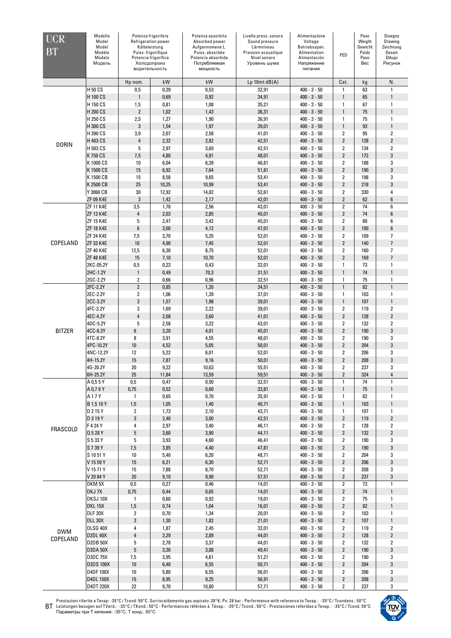| $\overline{\text{UCR}}$<br>BT | Modello<br>Model<br>Model<br>Modèle<br>Modelo<br>Модель | Холодопроиз             | Potenza frigorifera<br>Refrigeration power<br>Kålteleistung<br>Puiss. frigorifique<br>Potencia frigorífica<br>водительность | Potenza assorbita<br>Absorbed power<br>Aufgennomene L.<br>Puiss. absorbée<br>Potencia absorbida<br>Потребляемая<br>мощность | Livello press. sonora<br>Sound pressure<br>Lärmniveau<br>Pression acoustique<br>Nivel sonoro<br>Уровень шума | Alimentazione<br>Voltage<br>Betriebsspan.<br>Alimentation<br>Alimentación<br>Напряжение<br>питания | PED                     | Peso<br>Weight<br>Gewicht<br>Poids<br>Peso<br>Bec | Diseano<br>Drawing<br>Zeichnung<br>Dessin<br>Dibujo<br>Рисунок |
|-------------------------------|---------------------------------------------------------|-------------------------|-----------------------------------------------------------------------------------------------------------------------------|-----------------------------------------------------------------------------------------------------------------------------|--------------------------------------------------------------------------------------------------------------|----------------------------------------------------------------------------------------------------|-------------------------|---------------------------------------------------|----------------------------------------------------------------|
|                               |                                                         | Hp nom.                 | kW                                                                                                                          | kW                                                                                                                          | $Lp$ 10mt $dB(A)$                                                                                            |                                                                                                    | Cat.                    | kg                                                | N.                                                             |
|                               | H 50 CS                                                 | 0,5                     | 0,39                                                                                                                        | 0,53                                                                                                                        | 32,91                                                                                                        | $400 - 3 - 50$                                                                                     | 1                       | 63                                                | $\mathbf{1}$                                                   |
|                               | H 100 CS                                                | $\mathbf{1}$            | 0,69                                                                                                                        | 0,92                                                                                                                        | 34,91                                                                                                        | $400 - 3 - 50$                                                                                     | 1                       | 65                                                | $\mathbf{1}$                                                   |
|                               | H 150 CS                                                | 1,5                     | 0,81                                                                                                                        | 1,08                                                                                                                        | 35,21                                                                                                        | $400 - 3 - 50$                                                                                     | 1                       | 67                                                | $\mathbf{1}$                                                   |
|                               | H 200 CS                                                | $\overline{\mathbf{2}}$ | 1,02                                                                                                                        | 1,43                                                                                                                        | 36,31                                                                                                        | $400 - 3 - 50$                                                                                     | 1                       | 75                                                | $\mathbf{1}$                                                   |
|                               | H 250 CS                                                | 2,5                     | 1,27                                                                                                                        | 1,90                                                                                                                        | 36,91                                                                                                        | $400 - 3 - 50$                                                                                     | 1                       | 75                                                | $\mathbf{1}$                                                   |
| <b>DORIN</b>                  | H 300 CS                                                | 3                       | 1,54                                                                                                                        | 1,97                                                                                                                        | 39,01                                                                                                        | $400 - 3 - 50$                                                                                     | 1                       | 93                                                | $\mathbf{1}$                                                   |
|                               | H 390 CS                                                | 3,9                     | 2,07                                                                                                                        | 2,58                                                                                                                        | 41,01                                                                                                        | $400 - 3 - 50$                                                                                     | 2                       | 95                                                | $\overline{2}$                                                 |
|                               | H 403 CS                                                | 4                       | 2,32                                                                                                                        | 2,82                                                                                                                        | 42,51                                                                                                        | $400 - 3 - 50$                                                                                     | $\overline{2}$          | 128                                               | $\sqrt{2}$                                                     |
|                               | H 503 CS                                                | 5                       | 2,97                                                                                                                        | 3,69                                                                                                                        | 42,51                                                                                                        | $400 - 3 - 50$                                                                                     | 2                       | 134                                               | $\overline{\mathbf{2}}$                                        |
|                               | K 750 CS                                                | 7,5                     | 4,80                                                                                                                        | 4,91                                                                                                                        | 48,01                                                                                                        | $400 - 3 - 50$                                                                                     | $\overline{2}$          | 172                                               | $\mathbf{3}$                                                   |
|                               | K 1000 CS                                               | 10                      | 6,04                                                                                                                        | 6,39                                                                                                                        | 46,81                                                                                                        | $400 - 3 - 50$                                                                                     | 2                       | 188                                               | 3                                                              |
|                               | K 1500 CS                                               | 15                      | 6,92                                                                                                                        | 7,64                                                                                                                        | 51,81                                                                                                        | $400 - 3 - 50$                                                                                     | $\overline{2}$          | 190                                               | $\sqrt{3}$                                                     |
|                               | K 1500 CB                                               | 15                      | 8,58                                                                                                                        | 9,65                                                                                                                        | 53,41                                                                                                        | $400 - 3 - 50$                                                                                     | 2                       | 198                                               | 3                                                              |
|                               | K 2500 CB                                               | 25                      | 10,25                                                                                                                       | 10,99                                                                                                                       | 53,41                                                                                                        | $400 - 3 - 50$                                                                                     | $\overline{2}$          | 218                                               | 3                                                              |
|                               | Y 3060 CB                                               | 30                      | 12,92                                                                                                                       | 14,82                                                                                                                       | 52,61                                                                                                        | $400 - 3 - 50$                                                                                     | 2                       | 330                                               | 4                                                              |
|                               | <b>ZF 09 K4E</b>                                        | 3                       | 1,42                                                                                                                        | 2,17                                                                                                                        | 42,01                                                                                                        | $400 - 3 - 50$                                                                                     | $\overline{2}$          | 62                                                | $\boldsymbol{6}$                                               |
|                               | <b>ZF 11 K4E</b>                                        | 3,5                     | 1,78                                                                                                                        | 2,56                                                                                                                        | 43,01                                                                                                        | $400 - 3 - 50$                                                                                     | $\overline{2}$          | 74                                                | 6                                                              |
|                               | <b>ZF 13 K4E</b>                                        | $\sqrt{4}$              | 2,03                                                                                                                        | 2,85                                                                                                                        | 45,01                                                                                                        | $400 - 3 - 50$                                                                                     | $\overline{2}$          | 74                                                | $\boldsymbol{6}$                                               |
|                               | <b>ZF 15 K4E</b>                                        | 5                       | 2,47                                                                                                                        | 3,42                                                                                                                        | 45,01                                                                                                        | $400 - 3 - 50$                                                                                     | $\overline{2}$          | 80                                                | 6                                                              |
|                               | <b>ZF 18 K4E</b>                                        | $6\phantom{1}$          | 3,00                                                                                                                        | 4,12                                                                                                                        | 47,01                                                                                                        | $400 - 3 - 50$                                                                                     | $\overline{2}$          | 100                                               | $\boldsymbol{6}$                                               |
|                               | <b>ZF 24 K4E</b>                                        | 7,5                     | 3,70                                                                                                                        | 5,25                                                                                                                        | 52,01                                                                                                        | $400 - 3 - 50$                                                                                     | 2                       | 109                                               | $\overline{1}$                                                 |
| COPELAND                      | ZF 33 K4E                                               | 10                      | 4,90                                                                                                                        | 7,45                                                                                                                        | 52,01                                                                                                        | $400 - 3 - 50$                                                                                     | $\overline{2}$          | 140                                               | $\overline{7}$                                                 |
|                               | <b>ZF 40 K4E</b>                                        | 12,5                    | 6,30                                                                                                                        | 8,75                                                                                                                        | 52,01                                                                                                        | $400 - 3 - 50$                                                                                     | 2                       | 160                                               | $\overline{7}$                                                 |
|                               | <b>ZF 48 K4E</b>                                        | 15                      | 7,10                                                                                                                        | 10,70                                                                                                                       | 52,01                                                                                                        | $400 - 3 - 50$                                                                                     | $\overline{2}$          | 169                                               | $\overline{7}$                                                 |
|                               | 2KC-05.2Y                                               | 0,5                     | 0,23                                                                                                                        | 0,43                                                                                                                        | 32,01                                                                                                        | $400 - 3 - 50$                                                                                     | 1                       | 73                                                | 1                                                              |
|                               | 2HC-1.2Y                                                | $\mathbf{1}$            | 0,49                                                                                                                        | 70,3                                                                                                                        | 31,51                                                                                                        | $400 - 3 - 50$                                                                                     | 1                       | 74                                                | $\mathbf{1}$                                                   |
|                               | 2GC-2.2Y                                                | $\overline{2}$          | 0,66                                                                                                                        | 0,96                                                                                                                        | 32,51                                                                                                        | $400 - 3 - 50$                                                                                     | 1                       | 75                                                | $\mathbf{1}$                                                   |
|                               | 2FC-2.2Y                                                | $\overline{2}$          | 0,85                                                                                                                        | 1,20                                                                                                                        | 34,51                                                                                                        | $400 - 3 - 50$                                                                                     | $\mathbf{1}$            | 82                                                | $\mathbf{1}$                                                   |
|                               | 2EC-2.2Y                                                | $\overline{2}$          | 1,06                                                                                                                        | 1,39                                                                                                                        | 37,01                                                                                                        | $400 - 3 - 50$                                                                                     | 1                       | 103                                               | $\mathbf{1}$                                                   |
|                               | 2CC-3.2Y                                                | $\mathbf{3}$            | 1,57                                                                                                                        | 1,98                                                                                                                        | 39,01                                                                                                        | $400 - 3 - 50$                                                                                     | 1                       | 107                                               | $\mathbf{1}$                                                   |
|                               | 4FC-3.2Y                                                | 3                       | 1,69                                                                                                                        | 2,22                                                                                                                        | 39,01                                                                                                        | $400 - 3 - 50$                                                                                     | 2                       | 119                                               | $\overline{2}$                                                 |
|                               | 4EC-4.2Y                                                | $\overline{4}$          | 2,08                                                                                                                        | 2,60                                                                                                                        | 41,01                                                                                                        | $400 - 3 - 50$                                                                                     | $\overline{2}$          | 128                                               | $\overline{2}$                                                 |
|                               | 4DC-5.2Y                                                | 5                       | 2,58                                                                                                                        | 3,22                                                                                                                        | 43,01                                                                                                        | $400 - 3 - 50$                                                                                     | 2                       | 132                                               | $\overline{2}$                                                 |
| <b>BITZER</b>                 | 4CC-6.2Y                                                | 6                       | 3,20                                                                                                                        | 4,01                                                                                                                        | 45,01                                                                                                        | $400 - 3 - 50$                                                                                     | $\overline{2}$          | 190                                               | 3                                                              |
|                               | 4TC-8.2Y                                                | 8                       | 3,91                                                                                                                        | 4,55                                                                                                                        | 48,01                                                                                                        | $400 - 3 - 50$                                                                                     | 2                       | 190                                               | 3                                                              |
|                               | 4PC-10.2Y                                               | 10                      | 4,52                                                                                                                        | 5,05                                                                                                                        | 50,01                                                                                                        | $400 - 3 - 50$                                                                                     | $\overline{2}$          | 204                                               | $\sqrt{3}$                                                     |
|                               | 4NC-12.2Y                                               | 12                      | 5,22                                                                                                                        | 6,01                                                                                                                        | 52,01                                                                                                        | $400 - 3 - 50$                                                                                     | 2                       | 206                                               | 3                                                              |
|                               | 4H-15.2Y                                                | 15                      | 7,87                                                                                                                        | 9,16                                                                                                                        | 50,01                                                                                                        | $400 - 3 - 50$                                                                                     | $\overline{2}$          | 208                                               | 3                                                              |
|                               | 4G-20.2Y                                                | 20                      | 9,22                                                                                                                        | 10,63                                                                                                                       | 55,51                                                                                                        | $400 - 3 - 50$                                                                                     | $\overline{2}$          | 237                                               | 3                                                              |
|                               | 6H-25.2Y                                                | 25                      | 11,84                                                                                                                       | 13,59                                                                                                                       | 59,51                                                                                                        | $400 - 3 - 50$                                                                                     | $\overline{2}$          | 324                                               | 4                                                              |
|                               | A 0,55 Y                                                | 0,5                     | 0,47                                                                                                                        | 0,50                                                                                                                        | 32,51                                                                                                        | $400 - 3 - 50$                                                                                     | $\mathbf{1}$            | 74                                                | $\mathbf{1}$                                                   |
|                               | A 0,76Y                                                 | 0,75                    | 0,52                                                                                                                        | 0,60                                                                                                                        | 33,81                                                                                                        | $400 - 3 - 50$                                                                                     | 1                       | 75                                                | $\mathbf{1}$                                                   |
|                               | A17Y                                                    | 1                       | 0,65                                                                                                                        | 0,70                                                                                                                        | 35,91                                                                                                        | $400 - 3 - 50$                                                                                     | 1                       | 82                                                | 1                                                              |
|                               | B 1,5 10 Y                                              | 1,5                     | 1,05                                                                                                                        | 1,40                                                                                                                        | 40,71                                                                                                        | $400 - 3 - 50$                                                                                     | 1                       | 103                                               | $\mathbf{1}$                                                   |
|                               | D 2 15 Y                                                | $\mathbf{2}$            | 1,73                                                                                                                        | 2,10                                                                                                                        | 43,71                                                                                                        | $400 - 3 - 50$                                                                                     | 1                       | 107                                               | $\mathbf{1}$                                                   |
|                               | D 3 19 Y                                                | 3                       | 2,40                                                                                                                        | 3,00                                                                                                                        | 42,51                                                                                                        | $400 - 3 - 50$                                                                                     | $\overline{2}$          | 119                                               | $\overline{2}$                                                 |
| <b>FRASCOLD</b>               | F 4 24 Y                                                | 4                       | 2,97                                                                                                                        | 3,40                                                                                                                        | 46,11                                                                                                        | $400 - 3 - 50$                                                                                     | $\overline{2}$          | 128                                               | $\overline{2}$                                                 |
|                               | Q 5 28 Y                                                | 5                       | 3,60                                                                                                                        | 3,90                                                                                                                        | 44,11                                                                                                        | $400 - 3 - 50$                                                                                     | $\overline{2}$          | 132                                               | $\overline{2}$                                                 |
|                               | S 5 33 Y                                                | 5                       | 3,93                                                                                                                        | 4,60                                                                                                                        | 46,41                                                                                                        | $400 - 3 - 50$                                                                                     | $\mathbf{2}$            | 190                                               | 3                                                              |
|                               | S 7 39 Y                                                | 7,5                     | 3,85                                                                                                                        | 4,40                                                                                                                        | 47,81                                                                                                        | $400 - 3 - 50$                                                                                     | $\overline{2}$          | 190                                               | 3                                                              |
|                               | S 10 51 Y                                               | 10                      | 5,40                                                                                                                        | 6,20                                                                                                                        | 48,71                                                                                                        | $400 - 3 - 50$                                                                                     | $\mathbf{2}$            | 204                                               | 3                                                              |
|                               | V 15 59 Y                                               | 15                      | 6,21                                                                                                                        | 6,30                                                                                                                        | 52,71                                                                                                        | $400 - 3 - 50$                                                                                     | $\overline{\mathbf{c}}$ | 206                                               | 3                                                              |
|                               | V 1571 Y                                                | 15                      | 7,88                                                                                                                        | 8,70                                                                                                                        | 52,71                                                                                                        | $400 - 3 - 50$                                                                                     | 2                       | 208                                               | 3                                                              |
|                               | V 20 84 Y                                               | 20                      | 9,10                                                                                                                        | 9,90                                                                                                                        | 57,51                                                                                                        | $400 - 3 - 50$                                                                                     | $\overline{2}$          | 237                                               | $\sqrt{3}$                                                     |
|                               | DKM 5X                                                  | 0,5                     | 0,27                                                                                                                        | 0,46                                                                                                                        | 14,01                                                                                                        | $400 - 3 - 50$                                                                                     | $\overline{2}$          | 73                                                | $\mathbf{1}$                                                   |
|                               | DKJ7X                                                   | 0,75                    | 0,44                                                                                                                        | 0,65                                                                                                                        | 14,01                                                                                                        | $400 - 3 - 50$                                                                                     | $\overline{2}$          | 74                                                | $\mathbf{1}$                                                   |
|                               | DKSJ 10X                                                | 1                       | 0,60                                                                                                                        | 0,92                                                                                                                        | 19,01                                                                                                        | $400 - 3 - 50$                                                                                     | 2                       | 75                                                | $\mathbf{1}$                                                   |
|                               | <b>DKL15X</b>                                           | 1,5                     | 0,74                                                                                                                        | 1,04                                                                                                                        | 16,01                                                                                                        | $400 - 3 - 50$                                                                                     | $\overline{2}$          | 82                                                | $\mathbf{1}$                                                   |
|                               | <b>DLF 20X</b>                                          | $\overline{\mathbf{2}}$ | 0,70                                                                                                                        | 1,34                                                                                                                        | 20,01                                                                                                        | $400 - 3 - 50$                                                                                     | 2                       | 103                                               | $\mathbf{1}$                                                   |
|                               | <b>DLL 30X</b>                                          | 3                       | 1,30                                                                                                                        | 1,82                                                                                                                        | 21,01                                                                                                        | $400 - 3 - 50$                                                                                     | $\overline{2}$          | 107                                               | $\mathbf{1}$                                                   |
| <b>DWM</b>                    | DLSG 40X                                                | 4                       | 1,87                                                                                                                        | 2,45                                                                                                                        | 32,01                                                                                                        | $400 - 3 - 50$                                                                                     | $\overline{\mathbf{2}}$ | 119                                               | $\overline{2}$                                                 |
| COPELAND                      | <b>D2DL 40X</b>                                         | 4                       | 2,29                                                                                                                        | 2,89                                                                                                                        | 44,01                                                                                                        | $400 - 3 - 50$                                                                                     | $\overline{2}$          | 128                                               | $\overline{2}$                                                 |
|                               | <b>D2DB 50X</b>                                         | 5                       | 2,78                                                                                                                        | 3,37                                                                                                                        | 44,01                                                                                                        | $400 - 3 - 50$                                                                                     | 2                       | 132                                               | $\mathbf{2}$                                                   |
|                               | <b>D3DA 50X</b>                                         | 5                       | 3,30                                                                                                                        | 3,88                                                                                                                        | 49,41                                                                                                        | $400 - 3 - 50$                                                                                     | $\overline{2}$          | 190                                               | $\sqrt{3}$                                                     |
|                               | <b>D3DC75X</b>                                          | 7,5                     | 3,95                                                                                                                        | 4,61                                                                                                                        | 51,21                                                                                                        | $400 - 3 - 50$                                                                                     | 2                       | 190                                               | 3                                                              |
|                               | <b>D3DS 100X</b>                                        | 10                      | 6,40                                                                                                                        | 6,55                                                                                                                        | 50,71                                                                                                        | $400 - 3 - 50$                                                                                     | $\overline{2}$          | 204                                               | $\sqrt{3}$                                                     |
|                               | D4DF 100X                                               | 10                      | 5,80                                                                                                                        | 6,55                                                                                                                        | 56,01                                                                                                        | $400 - 3 - 50$                                                                                     | 2                       | 206                                               | 3                                                              |
|                               | D4DL 150X                                               | 15                      | 8,95                                                                                                                        | 9,25                                                                                                                        | 56,91                                                                                                        | $400 - 3 - 50$                                                                                     | $\overline{2}$          | 208                                               | $\sqrt{3}$                                                     |
|                               | D4DT 220X                                               | 22                      | 9,70                                                                                                                        | 10,80                                                                                                                       | 57,71                                                                                                        | $400 - 3 - 50$                                                                                     | $\mathbf{2}$            | 237                                               | 3                                                              |

Prestazioni riferite a Tevap: -35°С / Tcond: 50°С. Surriscaldamento gas aspirato: 20°К; Ps: 28 bar - Performance with reference to Tevap.: -35°С / Tcondens.: 50°С<br>ВТ Leistungen bezugen auf TVerd.: -35°С / TKond.: 50°С - P